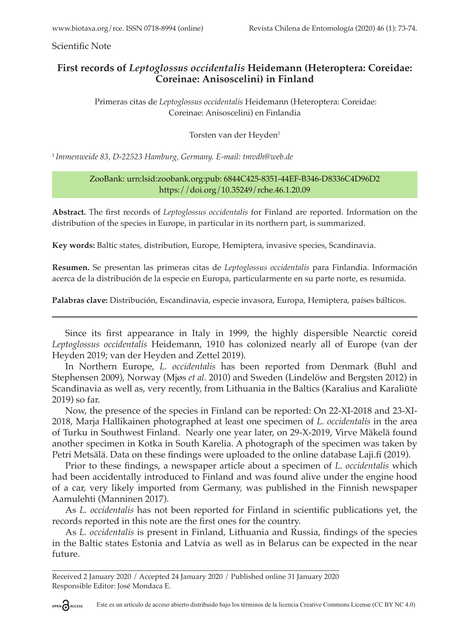Scientific Note

## **First records of** *Leptoglossus occidentalis* **Heidemann (Heteroptera: Coreidae: Coreinae: Anisoscelini) in Finland**

 Primeras citas de *Leptoglossus occidentalis* Heidemann (Heteroptera: Coreidae: Coreinae: Anisoscelini) en Finlandia

Torsten van der Heyden<sup>1</sup>

<sup>1</sup>*Immenweide 83, D-22523 Hamburg, Germany. E-mail: tmvdh@web.de*

## ZooBank: urn:lsid:zoobank.org:pub: 6844C425-8351-44EF-B346-D8336C4D96D2 https://doi.org/10.35249/rche.46.1.20.09

**Abstract.** The first records of *Leptoglossus occidentalis* for Finland are reported. Information on the distribution of the species in Europe, in particular in its northern part, is summarized.

**Key words:** Baltic states, distribution, Europe, Hemiptera, invasive species, Scandinavia.

**Resumen.** Se presentan las primeras citas de *Leptoglossus occidentalis* para Finlandia. Información acerca de la distribución de la especie en Europa, particularmente en su parte norte, es resumida.

**Palabras clave:** Distribución, Escandinavia, especie invasora, Europa, Hemiptera, países bálticos.

Since its first appearance in Italy in 1999, the highly dispersible Nearctic coreid *Leptoglossus occidentalis* Heidemann, 1910 has colonized nearly all of Europe (van der Heyden 2019; van der Heyden and Zettel 2019).

In Northern Europe, *L. occidentalis* has been reported from Denmark (Buhl and Stephensen 2009), Norway (Mjøs *et al.* 2010) and Sweden (Lindelöw and Bergsten 2012) in Scandinavia as well as, very recently, from Lithuania in the Baltics (Karalius and Karaliūtė 2019) so far.

Now, the presence of the species in Finland can be reported: On 22-XI-2018 and 23-XI-2018, Marja Hallikainen photographed at least one specimen of *L. occidentalis* in the area of Turku in Southwest Finland. Nearly one year later, on 29-X-2019, Virve Mäkelä found another specimen in Kotka in South Karelia. A photograph of the specimen was taken by Petri Metsälä. Data on these findings were uploaded to the online database Laji.fi (2019).

Prior to these findings, a newspaper article about a specimen of *L. occidentalis* which had been accidentally introduced to Finland and was found alive under the engine hood of a car, very likely imported from Germany, was published in the Finnish newspaper Aamulehti (Manninen 2017).

As *L. occidentalis* has not been reported for Finland in scientific publications yet, the records reported in this note are the first ones for the country.

As *L. occidentalis* is present in Finland, Lithuania and Russia, findings of the species in the Baltic states Estonia and Latvia as well as in Belarus can be expected in the near future.

Received 2 January 2020 / Accepted 24 January 2020 / Published online 31 January 2020 Responsible Editor: José Mondaca E.